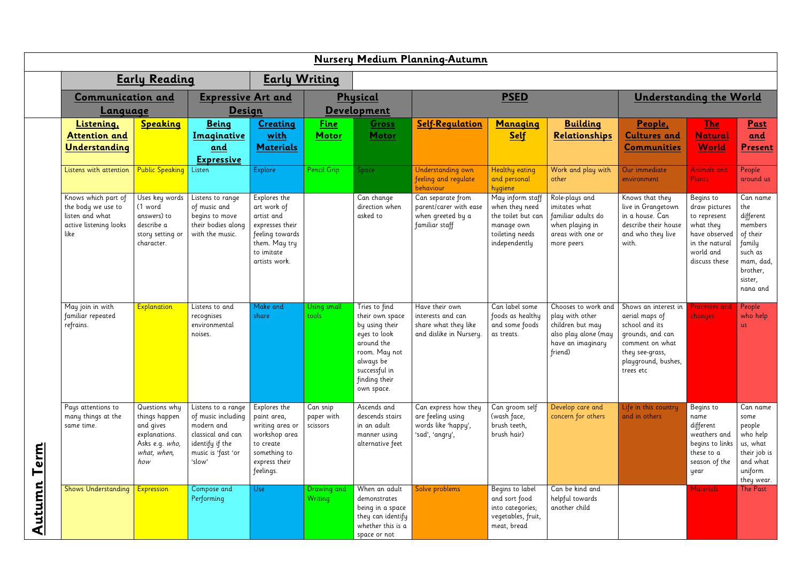|          |                                                                                                |                                                                                                      |                                                                                                                                |                                                                                                                                 |                                            |                                                                                                                                                                | Nursery Medium Planning-Autumn                                                         |                                                                                                            |                                                                                                                    |                                                                                                                                                        |                                                                                                                          |                                                                                                                          |
|----------|------------------------------------------------------------------------------------------------|------------------------------------------------------------------------------------------------------|--------------------------------------------------------------------------------------------------------------------------------|---------------------------------------------------------------------------------------------------------------------------------|--------------------------------------------|----------------------------------------------------------------------------------------------------------------------------------------------------------------|----------------------------------------------------------------------------------------|------------------------------------------------------------------------------------------------------------|--------------------------------------------------------------------------------------------------------------------|--------------------------------------------------------------------------------------------------------------------------------------------------------|--------------------------------------------------------------------------------------------------------------------------|--------------------------------------------------------------------------------------------------------------------------|
|          | <b>Early Reading</b>                                                                           |                                                                                                      |                                                                                                                                |                                                                                                                                 | <b>Early Writing</b>                       |                                                                                                                                                                |                                                                                        |                                                                                                            |                                                                                                                    |                                                                                                                                                        |                                                                                                                          |                                                                                                                          |
|          | <b>Expressive Art and</b><br><b>Communication and</b>                                          |                                                                                                      |                                                                                                                                | Physical                                                                                                                        |                                            |                                                                                                                                                                | <b>PSED</b>                                                                            |                                                                                                            |                                                                                                                    | <b>Understanding the World</b>                                                                                                                         |                                                                                                                          |                                                                                                                          |
|          | Language<br><u>Listening,</u>                                                                  | Speaking                                                                                             | <u>Design</u><br><b>Being</b><br><b>Creating</b>                                                                               |                                                                                                                                 | <b>Development</b><br><b>Fine</b><br>Gross |                                                                                                                                                                | <b>Self-Requlation</b><br>Managing                                                     |                                                                                                            | <b>Building</b>                                                                                                    | People,                                                                                                                                                | $The$                                                                                                                    | Past                                                                                                                     |
|          | <b>Attention and</b><br>Understanding                                                          |                                                                                                      | <u>Imaginative</u><br>and<br><b>Expressive</b>                                                                                 | with<br><b>Materials</b>                                                                                                        | <b>Motor</b>                               | Motor                                                                                                                                                          |                                                                                        | <u>Self</u>                                                                                                | Relationships                                                                                                      | <b>Cultures and</b><br><b>Communities</b>                                                                                                              | <b>Natural</b><br><b>World</b>                                                                                           | and<br><b>Present</b>                                                                                                    |
|          | Listens with attention                                                                         | <b>Public Speaking</b>                                                                               | Listen                                                                                                                         | Explore                                                                                                                         | <b>Pencil Grip</b>                         | Space                                                                                                                                                          | Understanding own<br>feeling and regulate<br>behaviour                                 | <b>Healthy eating</b><br>and personal<br>hygiene                                                           | Work and play with<br>other                                                                                        | Our immediate<br>environment                                                                                                                           | <b>Animals and</b><br><b>Plants</b>                                                                                      | People<br>around us                                                                                                      |
|          | Knows which part of<br>the body we use to<br>listen and what<br>active listening looks<br>like | Uses key words<br>(1 word<br>answers) to<br>describe a<br>story setting or<br>character.             | Listens to range<br>of music and<br>begins to move<br>their bodies along<br>with the music.                                    | Explores the<br>art work of<br>artist and<br>expresses their<br>feeling towards<br>them. May try<br>to imitate<br>artists work. |                                            | Can change<br>direction when<br>asked to                                                                                                                       | Can separate from<br>parent/carer with ease<br>when greeted by a<br>familiar staff     | May inform staff<br>when they need<br>the toilet but can<br>manage own<br>toileting needs<br>independently | Role-plays and<br>imitates what<br>familiar adults do<br>when playing in<br>areas with one or<br>more peers        | Knows that they<br>live in Grangetown<br>in a house. Can<br>describe their house<br>and who they live<br>with.                                         | Begins to<br>draw pictures<br>to represent<br>what they<br>have observed<br>in the natural<br>world and<br>discuss these | Can name<br>the<br>different<br>members<br>of their<br>family<br>such as<br>mam, dad,<br>brother,<br>sister,<br>nana and |
| erm<br>⊢ | May join in with<br>familiar repeated<br>refrains.                                             | Explanation                                                                                          | Listens to and<br>recognises<br>environmental<br>noises.                                                                       | Make and<br>share                                                                                                               | Using small<br>tools                       | Tries to find<br>their own space<br>by using their<br>eyes to look<br>around the<br>room. May not<br>always be<br>successful in<br>finding their<br>own space. | Have their own<br>interests and can<br>share what they like<br>and dislike in Nursery. | Can label some<br>foods as healthy<br>and some foods<br>as treats.                                         | Chooses to work and<br>play with other<br>children but may<br>also play alone (may<br>have an imaginary<br>friend) | Shows an interest in<br>aerial maps of<br>school and its<br>grounds, and can<br>comment on what<br>they see-grass,<br>playground, bushes,<br>trees etc | <b>Processes</b> and<br>changes                                                                                          | People<br>who help<br><b>us</b>                                                                                          |
|          | Pays attentions to<br>many things at the<br>same time.                                         | Questions why<br>things happen<br>and gives<br>explanations.<br>Asks e.g. who,<br>what, when,<br>how | Listens to a range<br>of music including<br>modern and<br>classical and can<br>identify if the<br>music is 'fast 'or<br>'slow' | Explores the<br>paint area,<br>writing area or<br>workshop area<br>to create<br>something to<br>express their<br>feelings.      | Can snip<br>paper with<br>scissors         | Ascends and<br>descends stairs<br>in an adult<br>manner using<br>alternative feet                                                                              | Can express how they<br>are feeling using<br>words like 'happy',<br>'sad', 'angry',    | Can groom self<br>(wash face,<br>brush teeth,<br>brush hair)                                               | Develop care and<br>concern for others                                                                             | Life in this country<br>and in others                                                                                                                  | Begins to<br>name<br>different<br>weathers and<br>begins to links<br>these to a<br>season of the<br>year                 | Can name<br>some<br>people<br>who help<br>us, what<br>their job is<br>and what<br>uniform<br>they wear.                  |
| Autumn   | <b>Shows Understanding</b>                                                                     | <b>Expression</b>                                                                                    | Compose and<br>Performing                                                                                                      | Use                                                                                                                             | Drawing and<br>Writing                     | When an adult<br>demonstrates<br>being in a space<br>they can identify<br>whether this is a<br>space or not                                                    | Solve problems                                                                         | Begins to label<br>and sort food<br>into categories;<br>vegetables, fruit,<br>meat, bread                  | Can be kind and<br>helpful towards<br>another child                                                                |                                                                                                                                                        | <b>Materials</b>                                                                                                         | <b>The Past</b>                                                                                                          |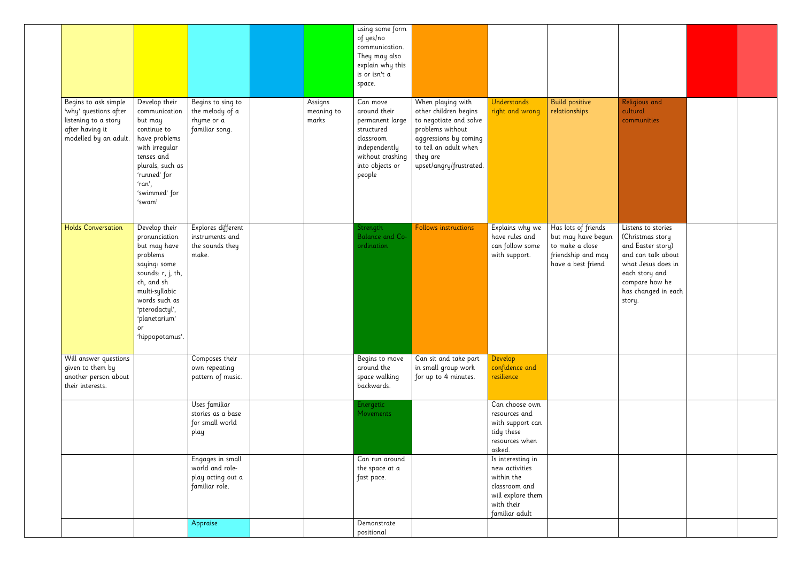|                                                                                                                   |                                                                                                                                                                                                              |                                                                            |                                | using some form<br>of yes/no<br>communication.<br>They may also<br>explain why this<br>is or isn't a<br>space.                           |                                                                                                                                                                                   |                                                                                                                         |                                                                                                          |                                                                                                                                                                              |  |
|-------------------------------------------------------------------------------------------------------------------|--------------------------------------------------------------------------------------------------------------------------------------------------------------------------------------------------------------|----------------------------------------------------------------------------|--------------------------------|------------------------------------------------------------------------------------------------------------------------------------------|-----------------------------------------------------------------------------------------------------------------------------------------------------------------------------------|-------------------------------------------------------------------------------------------------------------------------|----------------------------------------------------------------------------------------------------------|------------------------------------------------------------------------------------------------------------------------------------------------------------------------------|--|
| Begins to ask simple<br>'why' questions after<br>listening to a story<br>after having it<br>modelled by an adult. | Develop their<br>communication<br>but may<br>continue to<br>have problems<br>with irregular<br>tenses and<br>plurals, such as<br>'runned' for<br>'ran',<br>'swimmed' for<br>'swam'                           | Begins to sing to<br>the melody of a<br>rhyme or a<br>familiar song.       | Assigns<br>meaning to<br>marks | Can move<br>around their<br>permanent large<br>structured<br>classroom<br>independently<br>without crashing<br>into objects or<br>people | When playing with<br>other children begins<br>to negotiate and solve<br>problems without<br>aggressions by coming<br>to tell an adult when<br>they are<br>upset/angry/frustrated. | Understands<br>right and wrong                                                                                          | <b>Build positive</b><br>relationships                                                                   | Religious and<br>cultural<br>communities                                                                                                                                     |  |
| <b>Holds Conversation</b>                                                                                         | Develop their<br>pronunciation<br>but may have<br>problems<br>saying: some<br>sounds: r, j, th,<br>ch, and sh<br>multi-syllabic<br>words such as<br>'pterodactyl',<br>'planetarium'<br>or<br>'hippopotamus'. | Explores different<br>instruments and<br>the sounds they<br>make.          |                                | Strength<br><b>Balance and Co-</b><br>ordination                                                                                         | <b>Follows instructions</b>                                                                                                                                                       | Explains why we<br>have rules and<br>can follow some<br>with support.                                                   | Has lots of friends<br>but may have begun<br>to make a close<br>friendship and may<br>have a best friend | Listens to stories<br>(Christmas story<br>and Easter story)<br>and can talk about<br>what Jesus does in<br>each story and<br>compare how he<br>has changed in each<br>story. |  |
| Will answer questions<br>given to them by<br>another person about<br>their interests.                             |                                                                                                                                                                                                              | Composes their<br>own repeating<br>pattern of music.                       |                                | Begins to move<br>around the<br>space walking<br>backwards.                                                                              | Can sit and take part<br>in small group work<br>for up to 4 minutes.                                                                                                              | Develop<br>confidence and<br>resilience                                                                                 |                                                                                                          |                                                                                                                                                                              |  |
|                                                                                                                   |                                                                                                                                                                                                              | Uses familiar<br>stories as a base<br>for small world<br>play              |                                | Energetic<br><b>Movements</b>                                                                                                            |                                                                                                                                                                                   | Can choose own<br>resources and<br>with support can<br>tidy these<br>resources when<br>asked.                           |                                                                                                          |                                                                                                                                                                              |  |
|                                                                                                                   |                                                                                                                                                                                                              | Engages in small<br>world and role-<br>play acting out a<br>familiar role. |                                | Can run around<br>the space at a<br>fast pace.                                                                                           |                                                                                                                                                                                   | Is interesting in<br>new activities<br>within the<br>classroom and<br>will explore them<br>with their<br>familiar adult |                                                                                                          |                                                                                                                                                                              |  |
|                                                                                                                   |                                                                                                                                                                                                              | Appraise                                                                   |                                | Demonstrate<br>positional                                                                                                                |                                                                                                                                                                                   |                                                                                                                         |                                                                                                          |                                                                                                                                                                              |  |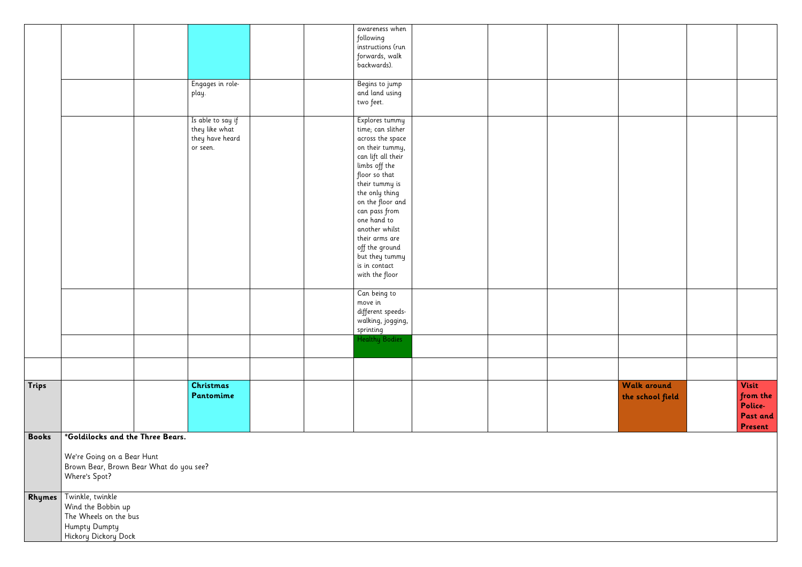|              |                                                                                                          |                                                                    |  | awareness when<br>following<br>instructions (run<br>forwards, walk<br>backwards).                                                                                                                                                                                                                                                     |  |                                        |                                                            |
|--------------|----------------------------------------------------------------------------------------------------------|--------------------------------------------------------------------|--|---------------------------------------------------------------------------------------------------------------------------------------------------------------------------------------------------------------------------------------------------------------------------------------------------------------------------------------|--|----------------------------------------|------------------------------------------------------------|
|              |                                                                                                          | Engages in role-<br>play.                                          |  | Begins to jump<br>and land using<br>two feet.                                                                                                                                                                                                                                                                                         |  |                                        |                                                            |
|              |                                                                                                          | Is able to say if<br>they like what<br>they have heard<br>or seen. |  | Explores tummy<br>time; can slither<br>across the space<br>on their tummy,<br>can lift all their<br>limbs off the<br>floor so that<br>their tummy is<br>the only thing<br>on the floor and<br>can pass from<br>one hand to<br>another whilst<br>their arms are<br>off the ground<br>but they tummy<br>is in contact<br>with the floor |  |                                        |                                                            |
|              |                                                                                                          |                                                                    |  | Can being to<br>move in<br>different speeds-<br>walking, jogging,<br>sprinting                                                                                                                                                                                                                                                        |  |                                        |                                                            |
|              |                                                                                                          |                                                                    |  | Healthy Bodies                                                                                                                                                                                                                                                                                                                        |  |                                        |                                                            |
|              |                                                                                                          |                                                                    |  |                                                                                                                                                                                                                                                                                                                                       |  |                                        |                                                            |
| Trips        |                                                                                                          | Christmas<br>Pantomime                                             |  |                                                                                                                                                                                                                                                                                                                                       |  | <b>Walk around</b><br>the school field | <b>Visit</b><br>from the<br>Police-<br>Past and<br>Present |
| <b>Books</b> | *Goldilocks and the Three Bears.<br>We're Going on a Bear Hunt<br>Where's Spot?                          | Brown Bear, Brown Bear What do you see?                            |  |                                                                                                                                                                                                                                                                                                                                       |  |                                        |                                                            |
| Rhymes       | Twinkle, twinkle<br>Wind the Bobbin up<br>The Wheels on the bus<br>Humpty Dumpty<br>Hickory Dickory Dock |                                                                    |  |                                                                                                                                                                                                                                                                                                                                       |  |                                        |                                                            |